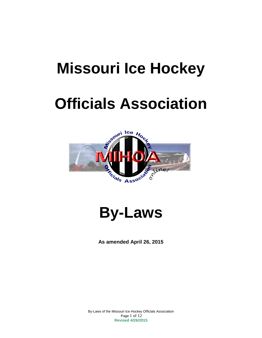## **Missouri Ice Hockey**

# **Officials Association**





**As amended April 26, 2015**

By-Laws of the Missouri Ice Hockey Officials Association Page 1 of 12 **Revised 4/26/2015**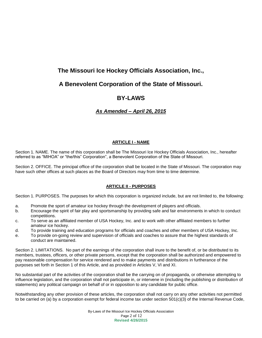## **The Missouri Ice Hockey Officials Association, Inc.,**

## **A Benevolent Corporation of the State of Missouri.**

## **BY-LAWS**

### *As Amended – April 26, 2015*

#### **ARTICLE I - NAME**

Section 1. NAME. The name of this corporation shall be The Missouri Ice Hockey Officials Association, Inc., hereafter referred to as "MIHOA" or "the/this" Corporation", a Benevolent Corporation of the State of Missouri.

Section 2. OFFICE. The principal office of the corporation shall be located in the State of Missouri. The corporation may have such other offices at such places as the Board of Directors may from time to time determine.

#### **ARTICLE II - PURPOSES**

Section 1. PURPOSES. The purposes for which this corporation is organized include, but are not limited to, the following:

- a. Promote the sport of amateur ice hockey through the development of players and officials.
- b. Encourage the spirit of fair play and sportsmanship by providing safe and fair environments in which to conduct competitions.
- c. To serve as an affiliated member of USA Hockey, Inc. and to work with other affiliated members to further amateur ice hockey.
- d. To provide training and education programs for officials and coaches and other members of USA Hockey, Inc.
- e. To provide on-going review and supervision of officials and coaches to assure that the highest standards of conduct are maintained.

Section 2. LIMITATIONS. No part of the earnings of the corporation shall inure to the benefit of, or be distributed to its members, trustees, officers, or other private persons, except that the corporation shall be authorized and empowered to pay reasonable compensation for service rendered and to make payments and distributions in furtherance of the purposes set forth in Section 1 of this Article, and as provided in Articles V, VI and XI.

No substantial part of the activities of the corporation shall be the carrying on of propaganda, or otherwise attempting to influence legislation, and the corporation shall not participate in, or intervene in (including the publishing or distribution of statements) any political campaign on behalf of or in opposition to any candidate for public office.

Notwithstanding any other provision of these articles, the corporation shall not carry on any other activities not permitted to be carried on (a) by a corporation exempt for federal income tax under section 501(c)(3) of the Internal Revenue Code,

> By-Laws of the Missouri Ice Hockey Officials Association Page 2 of 12 **Revised 4/26/2015**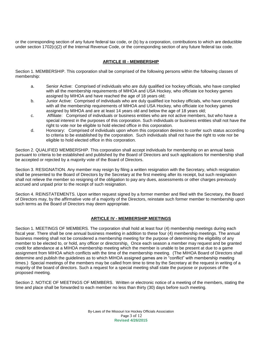or the corresponding section of any future federal tax code, or (b) by a corporation, contributions to which are deductible under section 1702(c)(2) of the Internal Revenue Code, or the corresponding section of any future federal tax code.

#### **ARTICLE Ill - MEMBERSHIP**

Section 1. MEMBERSHIP. This corporation shall be comprised of the following persons within the following classes of membership:

- a. Senior Active: Comprised of individuals who are duly qualified ice hockey officials, who have complied with all the membership requirements of MIHOA and USA Hockey, who officiate ice hockey games assigned by MIHOA and have reached the age of 18 years old;
- b. Junior Active: Comprised of individuals who are duly qualified ice hockey officials, who have complied with all the membership requirements of MIHOA and USA Hockey, who officiate ice hockey games assigned by MIHOA and are at least 14 years old and below the age of 18 years old;
- c. Affiliate: Comprised of individuals or business entities who are not active members, but who have a special interest in the purposes of this corporation. Such individuals or business entities shall not have the right to vote nor be eligible to hold elected office in this corporation.
- d. Honorary: Comprised of individuals upon whom this corporation desires to confer such status according to criteria to be established by the corporation. Such individuals shall not have the right to vote nor be eligible to hold elected office in this corporation.

Section 2. QUALIFIED MEMBERSHIP. This corporation shall accept individuals for membership on an annual basis pursuant to criteria to be established and published by the Board of Directors and such applications for membership shall be accepted or rejected by a majority vote of the Board of Directors.

Section 3. RESIGNATION. Any member may resign by filing a written resignation with the Secretary, which resignation shall be presented to the Board of Directors by the Secretary at the first meeting after its receipt, but such resignation shall not relieve the member so resigning of the obligation to pay any dues, assessments or other charges previously accrued and unpaid prior to the receipt of such resignation.

Section 4. REINSTATEMENTS. Upon written request signed by a former member and filed with the Secretary, the Board of Directors may, by the affirmative vote of a majority of the Directors, reinstate such former member to membership upon such terms as the Board of Directors may deem appropriate.

#### **ARTICLE IV - MEMBERSHIP MEETINGS**

Section 1. MEETINGS OF MEMBERS. The corporation shall hold at least four (4) membership meetings during each fiscal year. There shall be one annual business meeting in addition to these four (4) membership meetings. The annual business meeting shall not be considered a membership meeting for the purpose of determining the eligibility of any member to be elected to, or hold, any officer or directorship*.* Once each season a member may request and be granted credit for attendance at a MIHOA membership meeting which the member is unable to be present at due to a game assignment from MIHOA which conflicts with the time of the membership meeting. (The MIHOA Board of Directors shall determine and publish the guidelines as to which MIHOA assigned games are in "conflict" with membership meeting times.) Special meetings of the members may be called from time to time by the Secretary at the request in writing of a majority of the board of directors. Such a request for a special meeting shall state the purpose or purposes of the proposed meeting.

Section 2. NOTICE OF MEETINGS OF MEMBERS. Written or electronic notice of a meeting of the members, stating the time and place shall be forwarded to each member no less than thirty (30) days before such meeting.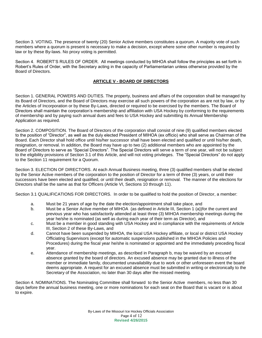Section 3. VOTING. The presence of twenty (20) Senior Active members constitutes a quorum. A majority vote of such members where a quorum is present is necessary to make a decision, except where some other number is required by law or by these By-laws. No proxy voting is permitted.

Section 4. ROBERT'S RULES OF ORDER. All meetings conducted by MIHOA shall follow the principles as set forth in Robert's Rules of Order, with the Secretary acting in the capacity of Parliamentarian unless otherwise provided by the Board of Directors.

#### **ARTICLE V - BOARD OF DIRECTORS**

Section 1. GENERAL POWERS AND DUTIES. The property, business and affairs of the corporation shall be managed by its Board of Directors, and the Board of Directors may exercise all such powers of the corporation as are not by law, or by the Articles of Incorporation or by these By-Laws, directed or required to be exercised by the members. The Board of Directors shall maintain the corporation's membership and affiliation with USA Hockey by conforming to the requirements of membership and by paying such annual dues and fees to USA Hockey and submitting its Annual Membership Application as required.

Section 2. COMPOSITION. The Board of Directors of the corporation shall consist of nine (9) qualified members elected to the position of "Director", as well as the duly elected President of MIHOA (ex officio) who shall serve as Chairman of the Board. Each Director shall hold office until his/her successor shall have been elected and qualified or until his/her death, resignation, or removal. In addition, the Board may have up to two (2) additional members who are appointed by the Board of Directors to serve as "Special Directors". The Special Directors will serve a term of one year, will not be subject to the eligibility provisions of Section 3.1 of this Article, and will not voting privileges. The "Special Directors" do not apply to the Section 11 requirement for a Quorum.

Section 3. ELECTION OF DIRECTORS. At each Annual Business meeting, three (3) qualified members shall be elected by the Senior Active members of the corporation to the position of Director for a term of three (3) years, or until their successors have been elected and qualified, or until their death, resignation or removal. The manner of the elections for Directors shall be the same as that for Officers (Article VI, Sections 10 through 11).

Section 3.1 QUALIFICATIONS FOR DIRECTORS. In order to be qualified to hold the position of Director, a member:

- a. Must be 21 years of age by the date the election/appointment shall take place, and
- b. Must be a Senior Active member of MIHOA (as defined in Article III, Section 1 (a))for the current and previous year who has satisfactorily attended at least three (3) MIHOA membership meetings during the year he/she is nominated (as well as during each year of their term as Director), and
- c. Must be a member in good standing with USA Hockey and in compliance with the requirements of Article III, Section 2 of these By-Laws, and
- d. Cannot have been suspended by MIHOA, the local USA Hockey affiliate, or local or district USA Hockey Officiating Supervisors (except for automatic suspensions published in the MIHOA Policies and Procedures) during the fiscal year he/she is nominated or appointed and the immediately preceding fiscal year.
- e. Attendance of membership meetings, as described in Paragraph b, may be waived by an excused absence granted by the board of directors. An excused absence may be granted due to illness of the member or immediate family, documented unavailability due to work or other unforeseen event the board deems appropriate. A request for an excused absence must be submitted in writing or electronically to the Secretary of the Association, no later than 30 days after the missed meeting.

Section 4. NOMINATIONS. The Nominating Committee shall forward to the Senior Active members, no less than 30 days before the annual business meeting, one or more nominations for each seat on the Board that is vacant or is about to expire.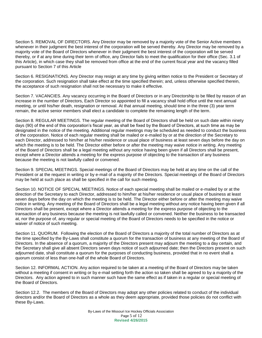Section 5. REMOVAL OF DIRECTORS. Any Director may be removed by a majority vote of the Senior Active members whenever in their judgment the best interest of the corporation will be served thereby. Any Director may be removed by a majority vote of the Board of Directors whenever in their judgment the best interest of the corporation will be served thereby, or if at any time during their term of office, any Director fails to meet the qualification for their office (Sec. 3.1 of this Article), in which case they shall be removed from office at the end of the current fiscal year and the vacancy filled pursuant to Section 7 of this Article

Section 6. RESIGNATIONS. Any Director may resign at any time by giving written notice to the President or Secretary of the corporation. Such resignation shall take effect at the time specified therein; and, unless otherwise specified therein, the acceptance of such resignation shall not be necessary to make it effective.

Section 7. VACANCIES. Any vacancy occurring in the Board of Directors or in any Directorship to be filled by reason of an increase in the number of Directors, Each Director so appointed to fill a vacancy shall hold office until the next annual meeting, or until his/her death, resignation or removal. At that annual meeting, should time in the three (3) year term remain, the active senior members shall elect a candidate to complete the remaining length of the term.

Section 8. REGULAR MEETINGS. The regular meeting of the Board of Directors shall be held on such date within ninety days (90) of the end of this corporation's fiscal year, as shall be fixed by the Board of Directors, at such time as may be designated in the notice of the meeting. Additional regular meetings may be scheduled as needed to conduct the business of the corporation. Notice of each regular meeting shall be mailed or e-mailed by or at the direction of the Secretary to each Director, addressed to him/her at his/her residence or usual place of business at least seven days before the day on which the meeting is to be held. The Director either before or after the meeting may waive notice in writing. Any meeting of the Board of Directors shall be a legal meeting without any notice having been given if all Directors shall be present, except where a Director attends a meeting for the express purpose of objecting to the transaction of any business because the meeting is not lawfully called or convened.

Section 9. SPECIAL MEETINGS. Special meetings of the Board of Directors may be held at any time on the call of the President or at the request in writing or by e-mail of a majority of the Directors. Special meetings of the Board of Directors may be held at such place as shall be specified in the call for such meeting.

Section 10. NOTICE OF SPECIAL MEETINGS. Notice of each special meeting shall be mailed or e-mailed by or at the direction of the Secretary to each Director, addressed to him/her at his/her residence or usual place of business at least seven days before the day on which the meeting is to be held. The Director either before or after the meeting may waive notice in writing. Any meeting of the Board of Directors shall be a legal meeting without any notice having been given if all Directors shall be present, except where a Director attends a meeting for the express purpose of objecting to the transaction of any business because the meeting is not lawfully called or convened. Neither the business to be transacted at, nor the purpose of, any regular or special meeting of the Board of Directors needs to be specified in the notice or waiver of notice of such meeting.

Section 11. QUORUM. Following the election of the Board of Directors a majority of the total number of Directors as at the time specified by the By-Laws shall constitute a quorum for the transaction of business at any meeting of the Board of Directors. In the absence of a quorum, a majority of the Directors present may adjourn the meeting to a day certain, and the Secretary shall give all absent Directors seven days notice of such adjourned date; then the Directors present on such adjourned date, shall constitute a quorum for the purposes of conducting business, provided that in no event shall a quorum consist of less than one-half of the whole Board of Directors.

Section 12. INFORMAL ACTION. Any action required to be taken at a meeting of the Board of Directors may be taken without a meeting if consent in writing or by e-mail setting forth the action so taken shall be agreed to by a majority of the Directors. Any action agreed to in such manner such have the same effect as if taken in a regular or special meeting of the Board of Directors.

Section 12.2. The members of the Board of Directors may adopt any other policies related to conduct of the individual directors and/or the Board of Directors as a whole as they deem appropriate, provided those policies do not conflict with these By-Laws.

> By-Laws of the Missouri Ice Hockey Officials Association Page 5 of 12 **Revised 4/26/2015**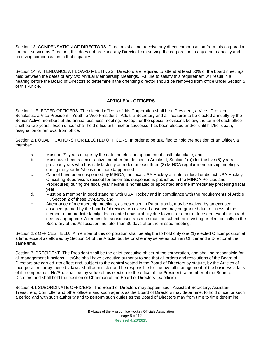Section 13. COMPENSATION OF DIRECTORS. Directors shall not receive any direct compensation from this corporation for their service as Directors; this does not preclude any Director from serving the corporation in any other capacity and receiving compensation in that capacity.

Section 14. ATTENDANCE AT BOARD MEETINGS. Directors are required to attend at least 50% of the board meetings held between the dates of any two Annual Membership Meetings. Failure to satisfy this requirement will result in a hearing before the Board of Directors to determine if the offending director should be removed from office under Section 5 of this Article.

#### **ARTICLE VI- OFFICERS**

Section 1. ELECTED OFFICERS. The elected officers of this Corporation shall be a President, a Vice –President - Scholastic, a Vice President - Youth, a Vice President - Adult, a Secretary and a Treasurer to be elected annually by the Senior Active members at the annual business meeting. Except for the special provisions below, the term of each office shall be two years. Each officer shall hold office until his/her successor has been elected and/or until his/her death, resignation or removal from office.

Section 2.1 QUALIFICATIONS FOR ELECTED OFFICERS. In order to be qualified to hold the position of an Officer, a member:

a. Must be 21 years of age by the date the election/appointment shall take place, and,

.

- b. Must have been a senior active member (as defined in Article III, Section 1(a)) for the five (5) years previous years who has satisfactorily attended at least three (3) MIHOA regular membership meetings during the year he/she is nominated/appointed.
- c. Cannot have been suspended by MIHOA, the local USA Hockey affiliate, or local or district USA Hockey Officiating Supervisors (except for automatic suspensions published in the MIHOA Policies and Procedures) during the fiscal year he/she is nominated or appointed and the immediately preceding fiscal year.
- d. Must be a member in good standing with USA Hockey and in compliance with the requirements of Article III, Section 2 of these By-Laws, and
- e. Attendance of membership meetings, as described in Paragraph b, may be waived by an excused absence granted by the board of directors. An excused absence may be granted due to illness of the member or immediate family, documented unavailability due to work or other unforeseen event the board deems appropriate. A request for an excused absence must be submitted in writing or electronically to the Secretary of the Association, no later than 30 days after the missed meeting.

Section 2.2 OFFICES HELD. A member of this corporation shall be eligible to hold only one (1) elected Officer position at a time, except as allowed by Section 14 of the Article, but he or she may serve as both an Officer and a Director at the same time.

Section 3. PRESIDENT. The President shall be the chief executive officer of the corporation, and shall be responsible for all management functions. He/She shall have executive authority to see that all orders and resolutions of the Board of Directors are carried into effect and, subject to the control vested in the Board of Directors by statute, by the Articles of Incorporation, or by these by-laws, shall administer and be responsible for the overall management of the business affairs of the corporation. He/She shall be, by virtue of his election to the office of the President, a member of the Board of Directors and shall hold the position of Chairman of the Board of Directors (ex officio).

Section 4.1 SUBORDINATE OFFICERS. The Board of Directors may appoint such Assistant Secretary, Assistant Treasurers, Controller and other officers and such agents as the Board of Directors may determine, to hold office for such a period and with such authority and to perform such duties as the Board of Directors may from time to time determine.

> By-Laws of the Missouri Ice Hockey Officials Association Page 6 of 12 **Revised 4/26/2015**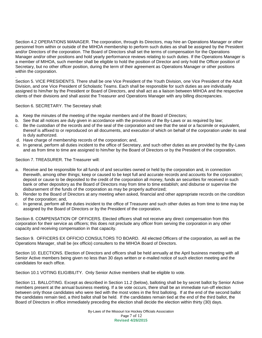Section 4.2 OPERATIONS MANAGER. The corporation, through its Directors, may hire an Operations Manager or other personnel from within or outside of the MIHOA membership to perform such duties as shall be assigned by the President and/or Directors of the corporation. The Board of Directors shall set the terms of compensation for the Operations Manager and/or other positions and hold yearly performance reviews relating to such duties. If the Operations Manager is a member of MIHOA, such member shall be eligible to hold the position of Director and only hold the Officer position of Secretary, but no other officer position, during the term of their agreement as Operations Manager or other positions within the corporation.

Section 5. VICE PRESIDENTS. There shall be one Vice President of the Youth Division, one Vice President of the Adult Division, and one Vice President of Scholastic Teams. Each shall be responsible for such duties as are individually assigned to him/her by the President or Board of Directors, and shall act as a liaison between MIHOA and the respective clients of their divisions and shall assist the Treasurer and Operations Manager with any billing discrepancies.

Section 6. SECRETARY. The Secretary shall:

.

- a. Keep the minutes of the meeting of the regular members and of the Board of Directors;
- b. See that all notices are duly given in accordance with the provisions of the By-Laws or as required by law;
- c. Be the custodian of the records and of the seal of the corporation and see that the seal or a facsimile or equivalent, thereof is affixed to or reproduced on all documents, and execution of which on behalf of the corporation under its seal is duly authorized.
- d. Have charge of membership records of the corporation; and,
- e. In general, perform all duties incident to the office of Secretary, and such other duties as are provided by the By-Laws and as from time to time are assigned to him/her by the Board of Directors or by the President of the corporation.

Section 7. TREASURER. The Treasurer will:

- a. Receive and be responsible for all funds of and securities owned or held by the corporation and, in connection therewith, among other things; keep or caused to be kept full and accurate records and accounts for the corporation; deposit or cause to be deposited to the credit of the corporation all money, funds an securities for received in such bank or other depository as the Board of Directors may from time to time establish; and disburse or supervise the disbursement of the funds of the corporation as may be properly authorized;
- b. Render to the Board of Directors at any meeting when asked, financial and other appropriate records on the condition of the corporation; and,
- c. In general, perform all the duties incident to the office of Treasurer and such other duties as from time to time may be assigned by the Board of Directors or by the President of the corporation.

Section 8. COMPENSATION OF OFFICERS. Elected officers shall not receive any direct compensation from this corporation for their service as officers; this does not preclude any officer from serving the corporation in any other capacity and receiving compensation in that capacity.

Section 9. OFFICERS EX OFFICIO CONSULTORS TO BOARD. All elected Officers of the corporation, as well as the Operations Manager, shall be (ex officio) consulters to the MIHOA Board of Directors.

Section 10. ELECTIONS. Election of Directors and officers shall be held annually at the April business meeting with all Senior Active members being given no less than 30 days written or e-mailed notice of such election meeting and the candidates for each office.

Section 10.1 VOTING ELIGIBILITY. Only Senior Active members shall be eligible to vote.

Section 11. BALLOTING. Except as described in Section 11.2 (below), balloting shall be by secret ballot by Senior Active members present at the annual business meeting. If a tie vote occurs, there shall be an immediate run-off election between only those candidates who were tied with the most votes in the first balloting. If at the end of the second ballot the candidates remain tied, a third ballot shall be held. If the candidates remain tied at the end of the third ballot, the Board of Directors in office immediately preceding the election shall decide the election within thirty (30) days.

> By-Laws of the Missouri Ice Hockey Officials Association Page 7 of 12 **Revised 4/26/2015**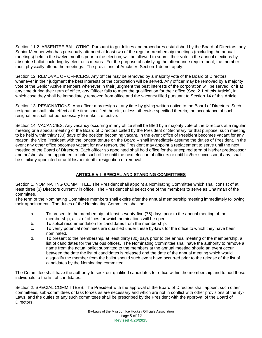Section 11.2. ABSENTEE BALLOTING. Pursuant to guidelines and procedures established by the Board of Directors, any Senior Member who has personally attended at least two of the regular membership meetings (excluding the annual meetings) held in the twelve months prior to the election, will be allowed to submit their vote in the annual elections by absentee ballot, including by electronic means. For the purpose of satisfying the attendance requirement, the member must physically attend the meetings. The provisions of Article IV, Section 1 do not apply.

Section 12*.* REMOVAL OF OFFICERS. Any officer may be removed by a majority vote of the Board of Directors whenever in their judgment the best interests of the corporation will be served. Any officer may be removed by a majority vote of the Senior Active members whenever in their judgment the best interests of the corporation will be served, or if at any time during their term of office, any Officer fails to meet the qualification for their office (Sec. 2.1 of this Article), in which case they shall be immediately removed from office and the vacancy filled pursuant to Section 14 of this Article.

Section 13. RESIGNATIONS. Any officer may resign at any time by giving written notice to the Board of Directors. Such resignation shall take effect at the time specified therein; unless otherwise specified therein; the acceptance of such resignation shall not be necessary to make it effective.

Section 14. VACANCIES. Any vacancy occurring in any office shall be filled by a majority vote of the Directors at a regular meeting or a special meeting of the Board of Directors called by the President or Secretary for that purpose, such meeting to be held within thirty (30) days of the position becoming vacant. In the event office of President becomes vacant for any reason, the Vice President with the longest tenure on the Board – shall immediately assume the duties of President. In the event any other office becomes vacant for any reason, the President may appoint a replacement to serve until the next meeting of the Board of Directors. Each officer so appointed shall hold office for the unexpired term of his/her predecessor and he/she shall be appointed to hold such office until the next election of officers or until his/her successor, if any, shall be similarly appointed or until his/her death, resignation or removal. .

#### **ARTICLE VII- SPECIAL AND STANDING COMMITTEES**

Section 1. NOMINATING COMMITTEE. The President shall appoint a Nominating Committee which shall consist of at least three (3) Directors currently in office. The President shall select one of the members to serve as Chairman of the committee.

The term of the Nominating Committee members shall expire after the annual membership meeting immediately following their appointment. The duties of the Nominating Committee shall be:

- a. To present to the membership, at least seventy-five (75) days prior to the annual meeting of the membership, a list of offices for which nominations will be open.
- b. To solicit recommendation for candidates from the membership.
- c. To verify potential nominees are qualified under these by-laws for the office to which they have been nominated.
- d. To present to the membership, at least thirty (30) days prior to the annual meeting of the membership, a list of candidates for the various offices. The Nominating Committee shall have the authority to remove a name from the actual ballot submitted to the members at the annual meeting should an event occur between the date the list of candidates is released and the date of the annual meeting which would disqualify the member from the ballot should such event have occurred prior to the release of the list of candidates by the Nominating committee.

The Committee shall have the authority to seek out qualified candidates for office within the membership and to add those individuals to the list of candidates.

Section 2. SPECIAL COMMITTEES. The President with the approval of the Board of Directors shall appoint such other committees, sub-committees or task forces as are necessary and which are not in conflict with other provisions of the By-Laws, and the duties of any such committees shall be prescribed by the President with the approval of the Board of Directors.

> By-Laws of the Missouri Ice Hockey Officials Association Page 8 of 12 **Revised 4/26/2015**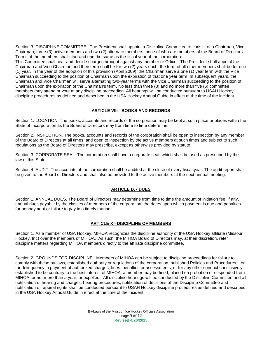Section 3. DISCIPLINE COMMITTEE. The President shall appoint a Discipline Committee to consist of a Chairman, Vice Chairman, three (3) active members and two (2) alternate members, none of who are members of the Board of Directors. Terms of the members shall start and end the same as the fiscal year of the corporation.

This Committee shall hear and decide charges brought against any member or Officer. The President shall appoint the Chairman and Vice Chairman and their term shall be for two (2) years each; the term of all other members shall be for one (1) year. In the year of the adoption of this provision (April 2009), the Chairman serve a one (1) year term with the Vice Chairman succeeding to the position of Chairman upon the expiration of that one year term. In subsequent years, the Chairman and Vice Chairman will serve alternating two-year terms with the Vice Chairman succeeding to the position of Chairman upon the expiration of the Chairman's term. No less than three (3) and no more than five (5) committee members may attend or vote at any discipline proceeding. All hearings will be conducted pursuant to USAH Hockey discipline procedures as defined and described in the USA Hockey Annual Guide in effect at the time of the incident.

#### **ARTICLE VIII - BOOKS AND RECORDS**

Section 1*.* LOCATION. The books, accounts and records of the corporation may be kept at such place or places within the State of Incorporation as the Board of Directors may from time to time determine.

Section 2. INSPECTION. The books, accounts and records of the corporation shall be open to inspection by any member of the Board of Directors at all times; and open to inspection by the active members at such times and subject to such regulations as the Board of Directors may prescribe, except as otherwise provided by statute.

Section 3. CORPORATE SEAL. The corporation shall have a corporate seal, which shall be used as prescribed by the law of this State.

Section 4. AUDIT. The accounts of the corporation shall be audited at the close of every fiscal year. The audit report shall be given to the Board of Directors and shall also be provided to the active members at the next annual meeting.

#### **ARTICLE IX - DUES**

Section 1. ANNUAL DUES. The Board of Directors may determine from time to time the amount of initiation fee, if any, annual dues payable by the classes of members of the corporation, the dates upon which payment is due and penalties for nonpayment or failure to pay in a timely manner.

#### **ARTICLE X - DISCIPLINE OF MEMBERS**

Section 1. As a member of USA Hockey, MIHOA recognizes the discipline authority of the USA Hockey affiliate (Missouri Hockey, Inc) over the members of MIHOA. As such, the MIHOA Board of Directors may, at their discretion, refer discipline matters regarding MIHOA members directly to the affiliate discipline committee.

Section 2. GROUNDS FOR DISCIPLINE. Members of MIHOA can be subject to discipline proceedings for failure to comply with these by-laws, established authority or regulations of the corporation, published Policies and Procedures, or for delinquency in payment of authorized charges, fines, penalties or assessments, or for any other conduct conclusively established to be contrary to the best interest of MIHOA, a member may be fined, placed on probation or suspended from MIHOA for not more than a year, or expelled. All discipline hearings will be conducted by the Discipline Committee and all notification of hearing and charges, hearing procedures, notification of decisions of the Discipline Committee and notification of appeal rights shall be conducted pursuant to USAH Hockey discipline procedures as defined and described in the USA Hockey Annual Guide in effect at the time of the incident.

> By-Laws of the Missouri Ice Hockey Officials Association Page 9 of 12 **Revised 4/26/2015**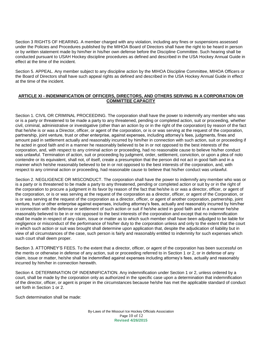Section 3 RIGHTS OF HEARING. A member charged with any violation, including any fines or suspensions assessed under the Policies and Procedures published by the MIHOA Board of Directors shall have the right to be heard in person or by written statement made by him/her in his/her own defense before the Discipline Committee. Such hearing shall be conducted pursuant to USAH Hockey discipline procedures as defined and described in the USA Hockey Annual Guide in effect at the time of the incident.

Section 5. APPEAL. Any member subject to any discipline action by the MIHOA Discipline Committee, MIHOA Officers or the Board of Directors shall have such appeal rights as defined and described in the USA Hockey Annual Guide in effect at the time of the incident.

#### **ARTICLE XI - INDEMNIFICATION OF OFFICERS, DIRECTORS, AND OTHERS SERVING IN A CORPORATION OR COMMITTEE CAPACITY**

Section 1. CIVIL OR CRIMINAL PROCEEDING. The corporation shall have the power to indemnify any member who was or is a party or threatened to be made a party to any threatened, pending or completed action, suit or proceeding, whether civil, criminal, administrative or investigative (other than an action by or in the right of the corporation) by reason of the fact that he/she is or was a Director, officer, or agent of the corporation, or is or was serving at the request of the corporation, partnership, joint venture, trust or other enterprise, against expenses, including attorney's fees, judgments, fines and amount paid in settlement actually and reasonably incurred by him/her in connection with such action, suit or proceeding if he acted in good faith and in a manner he reasonably believed to be in or not opposed to the best interests of the corporation, and, with respect to any criminal action or proceeding, had no reasonable cause to believe his/her conduct was unlawful. Termination of action, suit or proceeding by judgment, order, settlement, conviction, or upon a plea of nolo contendre or its equivalent, shall not, of itself, create a presumption that the person did not act in good faith and in a manner which he/she reasonably believed to be in or not opposed to the best interests of the corporation, and, with respect to any criminal action or proceeding, had reasonable cause to believe that his/her conduct was unlawful.

Section 2. NEGLIGENCE OR MISCONDUCT. The corporation shall have the power to indemnify any member who was or is a party or is threatened to be made a party to any threatened, pending or completed action or suit by or in the right of the corporation to procure a judgment in its favor by reason of the fact that he/she is or was a director, officer, or agent of the corporation, or is or was serving at the request of the corporation as a director, officer, or agent of the Corporation, or is or was serving at the request of the corporation as a director, officer, or agent of another corporation, partnership, joint venture, trust or other enterprise against expenses, including attorney's fees, actually and reasonably incurred by him/her in connection with the defense or settlement of such action or suit if he/she acted in good faith and in a manner he/she reasonably believed to be in or not opposed to the best interests of the corporation and except that no indemnification shall be made in respect of any claim, issue or matter as to which such member shall have been adjudged to be liable for negligence or misconduct of the performance of his/her duty to the corporation unless and only to the extent that the court in which such action or suit was brought shall determine upon application that, despite the adjudication of liability but in view of all circumstances of the case, such person is fairly and reasonably entitled to indemnity for such expenses which such court shall deem proper.

Section 3. ATTORNEY'S FEES. To the extent that a director, officer, or agent of the corporation has been successful on the merits or otherwise in defense of any action, suit or proceeding referred to in Section 1 or 2, or in defense of any claim, issue or matter, he/she shall be indemnified against expenses including attorney's fees, actually and reasonably incurred by him/her in connection herewith.

Section 4. DETERMINATION OF INDEMNIFICATION. Any indemnification under Section 1 or 2, unless ordered by a court, shall be made by the corporation only as authorized in the specific case upon a determination that indemnification of the director, officer, or agent is proper in the circumstances because he/she has met the applicable standard of conduct set forth in Section 1 or 2.

Such determination shall be made:

By-Laws of the Missouri Ice Hockey Officials Association Page 10 of 12 **Revised 4/26/2015**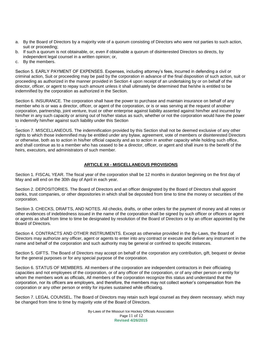- a. By the Board of Directors by a majority vote of a quorum consisting of Directors who were not parties to such action, suit or proceeding;
- b. If such a quorum is not obtainable, or, even if obtainable a quorum of disinterested Directors so directs, by
- independent legal counsel in a written opinion; or,
- c. By the members.

.

Section 5. EARLY PAYMENT OF EXPENSES. Expenses, including attorney's fees, incurred in defending a civil or criminal action, Suit or proceeding may be paid by the corporation in advance of the final disposition of such action, suit or proceeding as authorized in the manner provided in Section 4 upon receipt of an undertaking by or on behalf of the director, officer, or agent to repay such amount unless it shall ultimately be determined that he/she is entitled to be indemnified by the corporation as authorized in the Section.

Section 6. INSURANCE. The corporation shall have the power to purchase and maintain insurance on behalf of any member who is or was a director, officer, or agent of the corporation, or is or was serving at the request of another corporation, partnership, joint venture, trust or other enterprise against liability asserted against him/her and incurred by him/her in any such capacity or arising out of his/her status as such, whether or not the corporation would have the power to indemnify him/her against such liability under this Section

Section 7. MISCELLANEOUS. The indemnification provided by this Section shall not be deemed exclusive of any other rights to which those indemnified may be entitled under any bylaw, agreement, vote of members or disinterested Directors or otherwise, both as to action in his/her official capacity and as to action in another capacity while holding such office, and shall continue as to a member who has ceased to be a director, officer, or agent and shall inure to the benefit of the heirs, executors, and administrators of such member.

#### **ARTICLE XII - MISCELLANEOUS PROVISIONS**

Section 1. FISCAL YEAR. The fiscal year of the corporation shall be 12 months in duration beginning on the first day of May and will end on the 30th day of April in each year.

Section 2. DEPOSITORIES. The Board of Directors and an officer designated by the Board of Directors shall appoint banks, trust companies, or other depositories in which shall be deposited from time to time the money or securities of the corporation.

Section 3. CHECKS, DRAFTS, AND NOTES. All checks, drafts, or other orders for the payment of money and all notes or other evidences of indebtedness issued in the name of the corporation shall be signed by such officer or officers or agent or agents as shall from time to time be designated by resolution of the Board of Directors or by an officer appointed by the Board of Directors.

Section 4. CONTRACTS AND OTHER INSTRUMENTS. Except as otherwise provided in the By-Laws, the Board of Directors may authorize any officer, agent or agents to enter into any contract or execute and deliver any instrument in the name and behalf of the corporation and such authority may be general or confined to specific instances.

Section 5. GIFTS. The Board of Directors may accept on behalf of the corporation any contribution, gift, bequest or devise for the general purposes or for any special purpose of the corporation.

Section 6. STATUS OF MEMBERS. All members of the corporation are independent contractors in their officiating capacities and not employees of the corporation, or of any officer of the corporation, or of any other person or entity for whom the members work as officials, All members of the corporation recognize this status and understand that the corporation, nor its officers are employers, and therefore, the members may not collect worker's compensation from the corporation or any other person or entity for injuries sustained while officiating.

Section 7. LEGAL COUNSEL. The Board of Directors may retain such legal counsel as they deem necessary, which may be changed from time to time by majority vote of the Board of Directors.

> By-Laws of the Missouri Ice Hockey Officials Association Page 11 of 12 **Revised 4/26/2015**